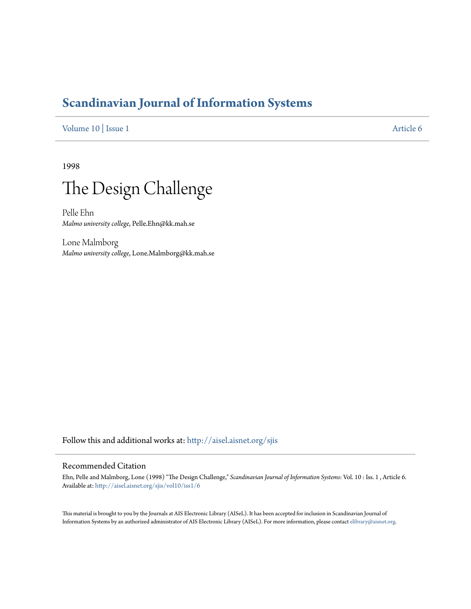# **[Scandinavian Journal of Information Systems](http://aisel.aisnet.org/sjis?utm_source=aisel.aisnet.org%2Fsjis%2Fvol10%2Fiss1%2F6&utm_medium=PDF&utm_campaign=PDFCoverPages)**

[Volume 10](http://aisel.aisnet.org/sjis/vol10?utm_source=aisel.aisnet.org%2Fsjis%2Fvol10%2Fiss1%2F6&utm_medium=PDF&utm_campaign=PDFCoverPages) | [Issue 1](http://aisel.aisnet.org/sjis/vol10/iss1?utm_source=aisel.aisnet.org%2Fsjis%2Fvol10%2Fiss1%2F6&utm_medium=PDF&utm_campaign=PDFCoverPages) [Article 6](http://aisel.aisnet.org/sjis/vol10/iss1/6?utm_source=aisel.aisnet.org%2Fsjis%2Fvol10%2Fiss1%2F6&utm_medium=PDF&utm_campaign=PDFCoverPages)

1998



Pelle Ehn *Malmo university college*, Pelle.Ehn@kk.mah.se

Lone Malmborg *Malmo university college*, Lone.Malmborg@kk.mah.se

Follow this and additional works at: [http://aisel.aisnet.org/sjis](http://aisel.aisnet.org/sjis?utm_source=aisel.aisnet.org%2Fsjis%2Fvol10%2Fiss1%2F6&utm_medium=PDF&utm_campaign=PDFCoverPages)

## Recommended Citation

Ehn, Pelle and Malmborg, Lone (1998) "The Design Challenge," *Scandinavian Journal of Information Systems*: Vol. 10 : Iss. 1 , Article 6. Available at: [http://aisel.aisnet.org/sjis/vol10/iss1/6](http://aisel.aisnet.org/sjis/vol10/iss1/6?utm_source=aisel.aisnet.org%2Fsjis%2Fvol10%2Fiss1%2F6&utm_medium=PDF&utm_campaign=PDFCoverPages)

This material is brought to you by the Journals at AIS Electronic Library (AISeL). It has been accepted for inclusion in Scandinavian Journal of Information Systems by an authorized administrator of AIS Electronic Library (AISeL). For more information, please contact [elibrary@aisnet.org.](mailto:elibrary@aisnet.org%3E)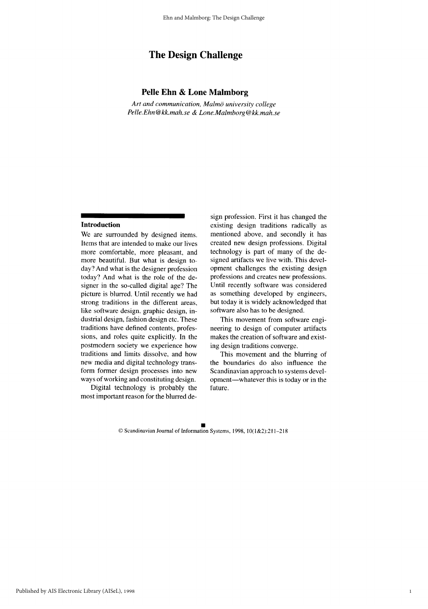# **The Design Challenge**

#### Pelle Ehn & Lone Malmborg

Art and communication, Malmö university college Pelle.Ehn@kk.mah.se & Lone.Malmborg@kk.mah.se

#### Introduction

We are surrounded by designed items. Items that are intended to make our lives more comfortable, more pleasant, and more beautiful. But what is design today? And what is the designer profession today? And what is the role of the designer in the so-called digital age? The picture is blurred. Until recently we had strong traditions in the different areas. like software design, graphic design, industrial design, fashion design etc. These traditions have defined contents, professions, and roles quite explicitly. In the postmodern society we experience how traditions and limits dissolve, and how new media and digital technology transform former design processes into new ways of working and constituting design.

Digital technology is probably the most important reason for the blurred design profession. First it has changed the existing design traditions radically as mentioned above, and secondly it has created new design professions. Digital technology is part of many of the designed artifacts we live with. This development challenges the existing design professions and creates new professions. Until recently software was considered as something developed by engineers, but today it is widely acknowledged that software also has to be designed.

This movement from software engineering to design of computer artifacts makes the creation of software and existing design traditions converge.

This movement and the blurring of the boundaries do also influence the Scandinavian approach to systems development—whatever this is today or in the future.

 $\mathbf{1}$ 

© Scandinavian Journal of Information Systems, 1998, 10(1&2):211-218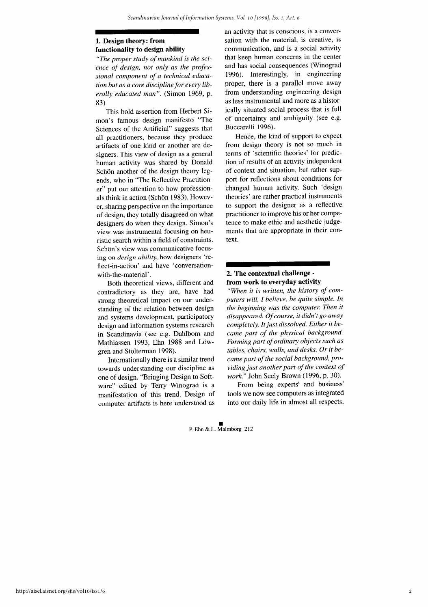### 1. Design theory: from functionality to design ability

"The proper study of mankind is the science of design, not only as the professional component of a technical education but as a core discipline for every liberally educated man". (Simon 1969, p. 83)

This bold assertion from Herbert Simon's famous design manifesto "The Sciences of the Artificial" suggests that all practitioners, because they produce artifacts of one kind or another are designers. This view of design as a general human activity was shared by Donald Schön another of the design theory legends, who in "The Reflective Practitioner" put our attention to how professionals think in action (Schön 1983). However, sharing perspective on the importance of design, they totally disagreed on what designers do when they design. Simon's view was instrumental focusing on heuristic search within a field of constraints. Schön's view was communicative focusing on *design ability*, how designers 'reflect-in-action' and have 'conversationwith-the-material'.

Both theoretical views, different and contradictory as they are, have had strong theoretical impact on our understanding of the relation between design and systems development, participatory design and information systems research in Scandinavia (see e.g. Dahlbom and Mathiassen 1993, Ehn 1988 and Löwgren and Stolterman 1998).

Internationally there is a similar trend towards understanding our discipline as one of design. "Bringing Design to Software" edited by Terry Winograd is a manifestation of this trend. Design of computer artifacts is here understood as an activity that is conscious, is a conversation with the material, is creative, is communication, and is a social activity that keep human concerns in the center and has social consequences (Winograd 1996). Interestingly, in engineering proper, there is a parallel move away from understanding engineering design as less instrumental and more as a historically situated social process that is full of uncertainty and ambiguity (see e.g. Buccarelli 1996).

Hence, the kind of support to expect from design theory is not so much in terms of 'scientific theories' for prediction of results of an activity independent of context and situation, but rather support for reflections about conditions for changed human activity. Such 'design theories' are rather practical instruments to support the designer as a reflective practitioner to improve his or her competence to make ethic and aesthetic judgements that are appropriate in their context.

#### 2. The contextual challenge from work to everyday activity

"When it is written, the history of computers will, I believe, be quite simple. In the beginning was the computer. Then it disappeared. Of course, it didn't go away completely. It just dissolved. Either it became part of the physical background. Forming part of ordinary objects such as tables, chairs, walls, and desks. Or it became part of the social background, providing just another part of the context of work." John Seely Brown (1996, p. 30).

From being experts' and business' tools we now see computers as integrated into our daily life in almost all respects.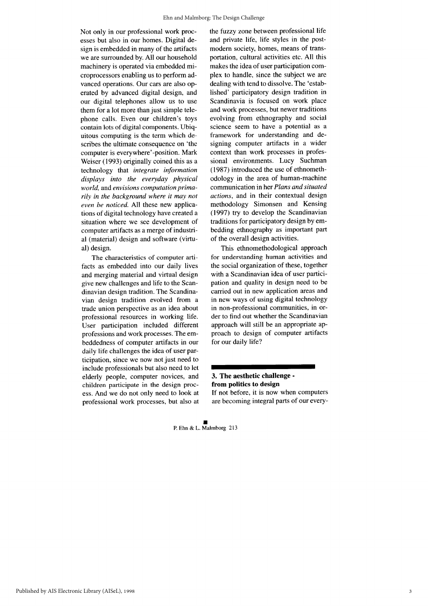Not only in our professional work processes but also in our homes. Digital design is embedded in many of the artifacts we are surrounded by. All our household machinery is operated via embedded microprocessors enabling us to perform advanced operations. Our cars are also operated by advanced digital design, and our digital telephones allow us to use them for a lot more than just simple telephone calls. Even our children's toys contain lots of digital components. Ubiquitous computing is the term which describes the ultimate consequence on 'the computer is everywhere'-position. Mark Weiser (1993) originally coined this as a technology that *integrate information* displays into the everyday physical world, and envisions computation primarily in the background where it may not even be noticed. All these new applications of digital technology have created a situation where we see development of computer artifacts as a merge of industrial (material) design and software (virtual) design.

The characteristics of computer artifacts as embedded into our daily lives and merging material and virtual design give new challenges and life to the Scandinavian design tradition. The Scandinavian design tradition evolved from a trade union perspective as an idea about professional resources in working life. User participation included different professions and work processes. The embeddedness of computer artifacts in our daily life challenges the idea of user participation, since we now not just need to include professionals but also need to let elderly people, computer novices, and children participate in the design process. And we do not only need to look at professional work processes, but also at the fuzzy zone between professional life and private life, life styles in the postmodern society, homes, means of transportation, cultural activities etc. All this makes the idea of user participation complex to handle, since the subject we are dealing with tend to dissolve. The 'established' participatory design tradition in Scandinavia is focused on work place and work processes, but newer traditions evolving from ethnography and social science seem to have a potential as a framework for understanding and designing computer artifacts in a wider context than work processes in professional environments. Lucy Suchman (1987) introduced the use of ethnomethodology in the area of human-machine communication in her Plans and situated actions, and in their contextual design methodology Simonsen and Kensing (1997) try to develop the Scandinavian traditions for participatory design by embedding ethnography as important part of the overall design activities.

This ethnomethodological approach for understanding human activities and the social organization of these, together with a Scandinavian idea of user participation and quality in design need to be carried out in new application areas and in new ways of using digital technology in non-professional communities, in order to find out whether the Scandinavian approach will still be an appropriate approach to design of computer artifacts for our daily life?

#### 3. The aesthetic challenge from politics to design If not before, it is now when computers

are becoming integral parts of our every-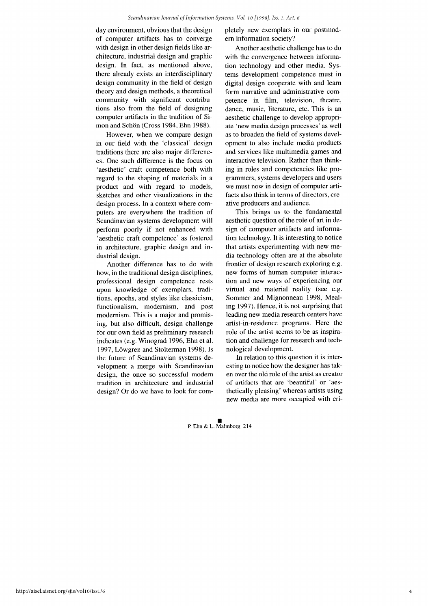day environment, obvious that the design of computer artifacts has to converge with design in other design fields like architecture, industrial design and graphic design. In fact, as mentioned above, there already exists an interdisciplinary design community in the field of design theory and design methods, a theoretical community with significant contributions also from the field of designing computer artifacts in the tradition of Simon and Schön (Cross 1984, Ehn 1988).

However, when we compare design in our field with the 'classical' design traditions there are also major differences. One such difference is the focus on 'aesthetic' craft competence both with regard to the shaping of materials in a product and with regard to models, sketches and other visualizations in the design process. In a context where computers are everywhere the tradition of Scandinavian systems development will perform poorly if not enhanced with 'aesthetic craft competence' as fostered in architecture, graphic design and industrial design.

Another difference has to do with how, in the traditional design disciplines, professional design competence rests upon knowledge of exemplars, traditions, epochs, and styles like classicism, functionalism, modernism, and post modernism. This is a major and promising, but also difficult, design challenge for our own field as preliminary research indicates (e.g. Winograd 1996, Ehn et al. 1997, Löwgren and Stolterman 1998). Is the future of Scandinavian systems development a merge with Scandinavian design, the once so successful modern tradition in architecture and industrial design? Or do we have to look for completely new exemplars in our postmodern information society?

Another aesthetic challenge has to do with the convergence between information technology and other media. Systems development competence must in digital design cooperate with and learn form narrative and administrative competence in film, television, theatre. dance, music, literature, etc. This is an aesthetic challenge to develop appropriate 'new media design processes' as well as to broaden the field of systems development to also include media products and services like multimedia games and interactive television. Rather than thinking in roles and competencies like programmers, systems developers and users we must now in design of computer artifacts also think in terms of directors, creative producers and audience.

This brings us to the fundamental aesthetic question of the role of art in design of computer artifacts and information technology. It is interesting to notice that artists experimenting with new media technology often are at the absolute frontier of design research exploring e.g. new forms of human computer interaction and new ways of experiencing our virtual and material reality (see e.g. Sommer and Mignonneau 1998, Mealing 1997). Hence, it is not surprising that leading new media research centers have artist-in-residence programs. Here the role of the artist seems to be as inspiration and challenge for research and technological development.

In relation to this question it is interesting to notice how the designer has taken over the old role of the artist as creator of artifacts that are 'beautiful' or 'aesthetically pleasing' whereas artists using new media are more occupied with cri-

 $\Delta$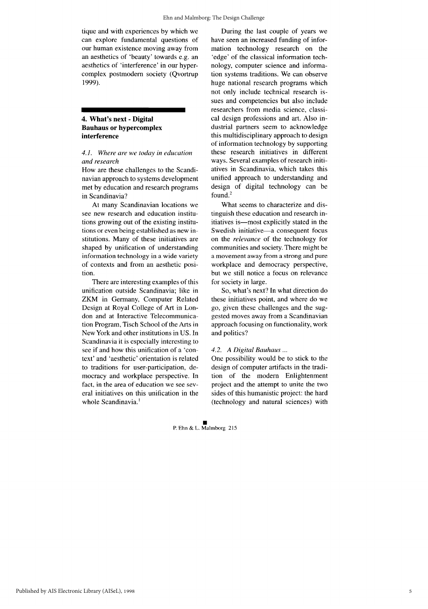tique and with experiences by which we can explore fundamental questions of our human existence moving away from an aesthetics of 'beauty' towards e.g. an aesthetics of 'interference' in our hypercomplex postmodern society (Qvortrup 1999).

#### 4. What's next - Digital **Bauhaus or hypercomplex** interference

#### 4.1. Where are we today in education and research

How are these challenges to the Scandinavian approach to systems development met by education and research programs in Scandinavia?

At many Scandinavian locations we see new research and education institutions growing out of the existing institutions or even being established as new institutions. Many of these initiatives are shaped by unification of understanding information technology in a wide variety of contexts and from an aesthetic position.

There are interesting examples of this unification outside Scandinavia; like in ZKM in Germany, Computer Related Design at Royal College of Art in London and at Interactive Telecommunication Program, Tisch School of the Arts in New York and other institutions in US. In Scandinavia it is especially interesting to see if and how this unification of a 'context' and 'aesthetic' orientation is related to traditions for user-participation, democracy and workplace perspective. In fact, in the area of education we see several initiatives on this unification in the whole Scandinavia.<sup>1</sup>

During the last couple of years we have seen an increased funding of information technology research on the 'edge' of the classical information technology, computer science and information systems traditions. We can observe huge national research programs which not only include technical research issues and competencies but also include researchers from media science, classical design professions and art. Also industrial partners seem to acknowledge this multidisciplinary approach to design of information technology by supporting these research initiatives in different ways. Several examples of research initiatives in Scandinavia, which takes this unified approach to understanding and design of digital technology can be found. $<sup>2</sup>$ </sup>

What seems to characterize and distinguish these education and research initiatives is—most explicitly stated in the Swedish initiative-a consequent focus on the relevance of the technology for communities and society. There might be a movement away from a strong and pure workplace and democracy perspective, but we still notice a focus on relevance for society in large.

So, what's next? In what direction do these initiatives point, and where do we go, given these challenges and the suggested moves away from a Scandinavian approach focusing on functionality, work and politics?

#### 4.2. A Digital Bauhaus ...

One possibility would be to stick to the design of computer artifacts in the tradition of the modern Enlightenment project and the attempt to unite the two sides of this humanistic project: the hard (technology and natural sciences) with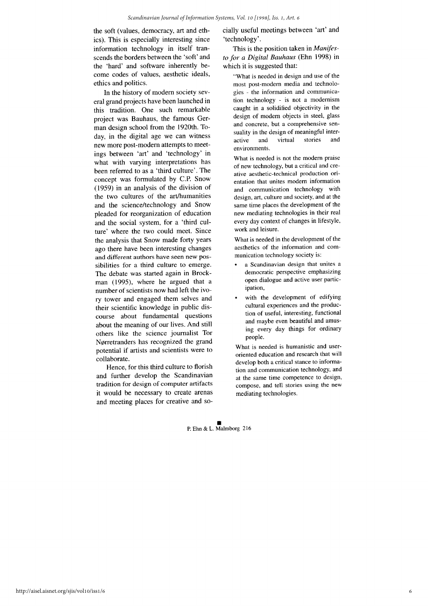the soft (values, democracy, art and ethics). This is especially interesting since information technology in itself transcends the borders between the 'soft' and the 'hard' and software inherently become codes of values, aesthetic ideals, ethics and politics.

In the history of modern society several grand projects have been launched in this tradition. One such remarkable project was Bauhaus, the famous German design school from the 1920th. Today, in the digital age we can witness new more post-modern attempts to meetings between 'art' and 'technology' in what with varying interpretations has been referred to as a 'third culture'. The concept was formulated by C.P. Snow (1959) in an analysis of the division of the two cultures of the art/humanities and the science/technology and Snow pleaded for reorganization of education and the social system, for a 'third culture' where the two could meet. Since the analysis that Snow made forty years ago there have been interesting changes and different authors have seen new possibilities for a third culture to emerge. The debate was started again in Brockman (1995), where he argued that a number of scientists now had left the ivory tower and engaged them selves and their scientific knowledge in public discourse about fundamental questions about the meaning of our lives. And still others like the science journalist Tor Nørretranders has recognized the grand potential if artists and scientists were to collaborate.

Hence, for this third culture to florish and further develop the Scandinavian tradition for design of computer artifacts it would be necessary to create arenas and meeting places for creative and socially useful meetings between 'art' and 'technology'.

This is the position taken in *Manifes*to for a Digital Bauhaus (Ehn 1998) in which it is suggested that:

"What is needed in design and use of the most post-modern media and technologies - the information and communication technology - is not a modernism caught in a solidified objectivity in the design of modern objects in steel, glass and concrete, but a comprehensive sensuality in the design of meaningful interactive and virtual stories and environments.

What is needed is not the modern praise of new technology, but a critical and creative aesthetic-technical production orientation that unites modern information and communication technology with design, art, culture and society, and at the same time places the development of the new mediating technologies in their real every day context of changes in lifestyle, work and leisure.

What is needed in the development of the aesthetics of the information and communication technology society is:

- a Scandinavian design that unites a democratic perspective emphasizing open dialogue and active user participation,
- with the development of edifying cultural experiences and the production of useful, interesting, functional and maybe even beautiful and amusing every day things for ordinary people.

What is needed is humanistic and useroriented education and research that will develop both a critical stance to information and communication technology, and at the same time competence to design, compose, and tell stories using the new mediating technologies.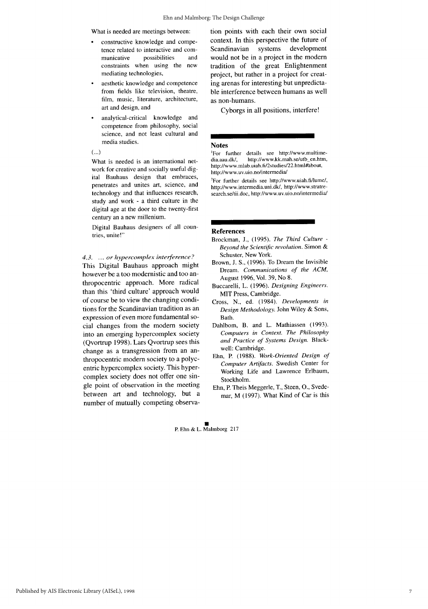What is needed are meetings between:

- constructive knowledge and competence related to interactive and compossibilities municative and constraints when using the new mediating technologies,
- aesthetic knowledge and competence from fields like television, theatre, film, music, literature, architecture, art and design, and
- analytical-critical knowledge and competence from philosophy, social science, and not least cultural and media studies.
- $(\ldots)$

What is needed is an international network for creative and socially useful digital Bauhaus design that embraces, penetrates and unites art, science, and technology and that influences research, study and work - a third culture in the digital age at the door to the twenty-first century an a new millenium.

Digital Bauhaus designers of all countries, unite!"

#### 4.3. ... or hypercomplex interference?

This Digital Bauhaus approach might however be a too modernistic and too anthropocentric approach. More radical than this 'third culture' approach would of course be to view the changing conditions for the Scandinavian tradition as an expression of even more fundamental social changes from the modern society into an emerging hypercomplex society (Qvortrup 1998). Lars Qvortrup sees this change as a transgression from an anthropocentric modern society to a polycentric hypercomplex society. This hypercomplex society does not offer one single point of observation in the meeting between art and technology, but a number of mutually competing observation points with each their own social context. In this perspective the future of Scandinavian systems development would not be in a project in the modern tradition of the great Enlightenment project, but rather in a project for creating arenas for interesting but unpredictable interference between humans as well as non-humans.

Cyborgs in all positions, interfere!

#### **Notes**

For further details see http://www.multimehttp://www.kk.mah.se/utb en.htm. dia.aau.dk/. http://www.mlab.uiah.fi/2studies/22.html#about, http://www.uv.uio.no/intermedia/

<sup>2</sup>For further details see http://www.uiah.fi/lume/, http://www.intermedia.uni.dk/, http://www.stratresearch.se/tii.doc, http://www.uv.uio.no/intermedia/

#### **References**

- Brockman, J., (1995). The Third Culture -Beyond the Scientific revolution. Simon & Schuster, New York.
- Brown, J. S., (1996). To Dream the Invisible Dream. Communications of the ACM, August 1996, Vol. 39, No 8.
- Buccarelli, L. (1996). Designing Engineers. MIT Press, Cambridge.
- Cross, N., ed. (1984). Developments in Design Methodology. John Wiley & Sons, Bath.
- Dahlbom, B. and L. Mathiassen (1993). Computers in Context. The Philosophy and Practice of Systems Design. Blackwell: Cambridge.
- Ehn, P. (1988). Work-Oriented Design of Computer Artifacts. Swedish Center for Working Life and Lawrence Erlbaum, Stockholm.
- Ehn, P. Theis Meggerle, T., Steen, O., Svedemar, M (1997). What Kind of Car is this